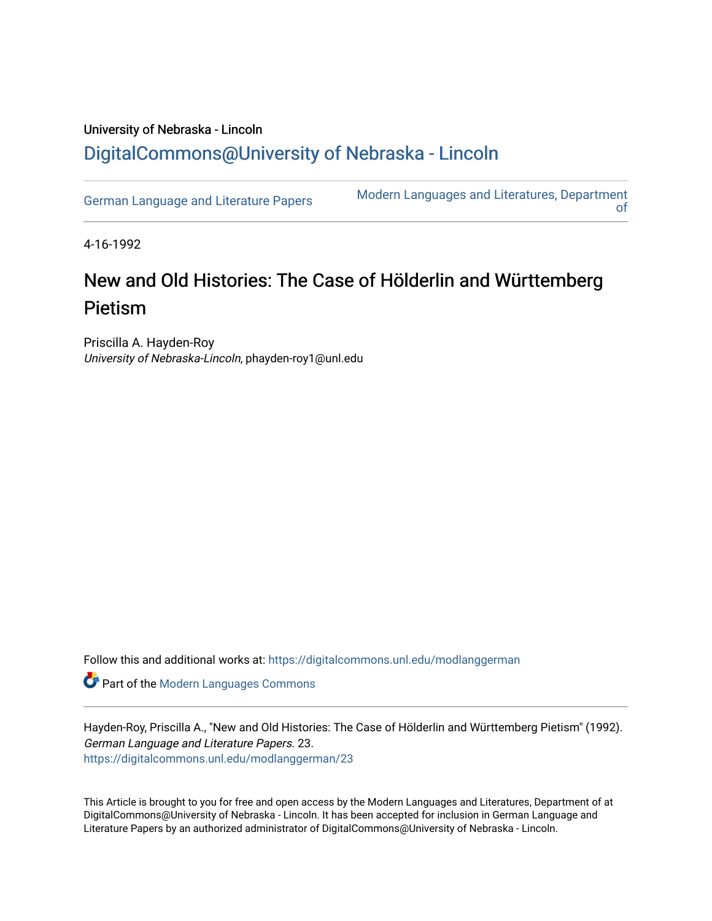## University of Nebraska - Lincoln [DigitalCommons@University of Nebraska - Lincoln](https://digitalcommons.unl.edu/)

[German Language and Literature Papers](https://digitalcommons.unl.edu/modlanggerman) Modern Languages and Literatures, Department [of](https://digitalcommons.unl.edu/modernlanguages) 

4-16-1992

## New and Old Histories: The Case of Hölderlin and Württemberg Pietism

Priscilla A. Hayden-Roy University of Nebraska-Lincoln, phayden-roy1@unl.edu

Follow this and additional works at: [https://digitalcommons.unl.edu/modlanggerman](https://digitalcommons.unl.edu/modlanggerman?utm_source=digitalcommons.unl.edu%2Fmodlanggerman%2F23&utm_medium=PDF&utm_campaign=PDFCoverPages) 

Part of the [Modern Languages Commons](http://network.bepress.com/hgg/discipline/1130?utm_source=digitalcommons.unl.edu%2Fmodlanggerman%2F23&utm_medium=PDF&utm_campaign=PDFCoverPages) 

Hayden-Roy, Priscilla A., "New and Old Histories: The Case of Hölderlin and Württemberg Pietism" (1992). German Language and Literature Papers. 23. [https://digitalcommons.unl.edu/modlanggerman/23](https://digitalcommons.unl.edu/modlanggerman/23?utm_source=digitalcommons.unl.edu%2Fmodlanggerman%2F23&utm_medium=PDF&utm_campaign=PDFCoverPages)

This Article is brought to you for free and open access by the Modern Languages and Literatures, Department of at DigitalCommons@University of Nebraska - Lincoln. It has been accepted for inclusion in German Language and Literature Papers by an authorized administrator of DigitalCommons@University of Nebraska - Lincoln.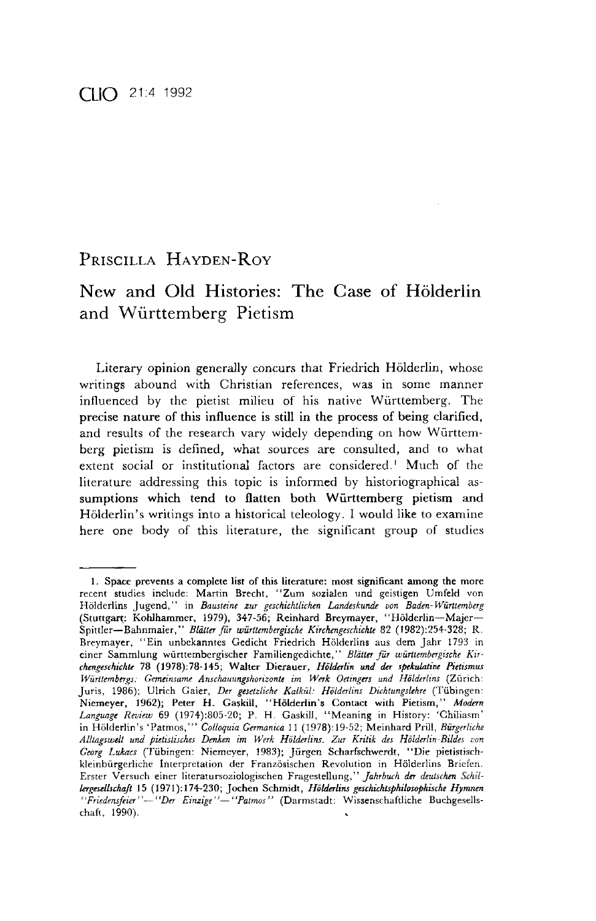## PRISCILLA HAYDEN-ROY

## New and Old Histories: The Case of Holderlin and Wiirttemberg Pietism

Literary opinion generally concurs that Friedrich Hölderlin, whose writings abound with Christian references, was in some manner influenced by the pietist milieu of his native Wurttemberg. The precise nature of this influence is still in the process of being clarified, and results of the research vary widely depending on how Wurttemberg pietism is defined, what sources are consulted, and to what extent social or institutional factors are considered.' Much of the literature addressing this topic is informed by historiographical assumptions which tend to flatten both Wiirttemberg pietism and Hölderlin's writings into a historical teleology. I would like to examine here one body of this literature, the significant group of studies

<sup>1.</sup> Space prevents a complete list of this literature: most significant among the more recent studies include: Martin Brecht, "Zum sozialen und geistigen Umfeld von Hölderlins Jugend," in *Bausteine zur geschichtlichen Landeskunde von Baden-Württemberg* (Stuttgart: Kohlhammer, 1979), 347-56; Reinhard Breymayer, "Holderlin-Majer-Spittler-Bahnmaier," *Blallerfur wurttembergische Kirchengeschichfe 82* (1982):254-328; *R.*  Breymayer, "Ein unbekanntes Gedicht Friedrich Hijlderlins aus dem Jahr 1793 in einer Sammlung württembergischer Familiengedichte," Blätter für württembergische Kir*rhmgcschichle* 78 (1978):78-145; Walter Dierauer, *Holdnlin and* dn *spckulaliue Pietismus*  Württembergs: Gemeinsame Anschauungshorizonte im Werk Oetingers und Hölderlins (Zürich: Juris, 1986); Ulrich Gaier, *Der gcsetzliche Kalkul: Holderlins Dichtungslehre* (Tiibingen. Niemeyer, 1962); Peter H. Gaskill, "Hölderlin's Contact with Pietism," Modern *Language Review 69* (1974):805-20; *P.* H Gaskill, "Meaning in History: 'Chiliasrn' in Hölderlin's 'Patmos,''' Colloquia Germanica 11 (1978):19-52; Meinhard Prill, *Bürgerliche* Alltagswelt und pietistisches Denken im Werk Hölderlins. Zur Kritik des Hölderlin-Bildes von *Georg Lukacs* (Tubingen: Niemeyer, 1983); Jurgen Scharfschwerdt, "Die pietistischkleinbiirgerliche Interpretation der Franzosischen Revolution in Holderlins Briefen. Erster Versuch einer literatursoziologischen Fragestellung," *Jahrbuch der deutschen Schil*lergesellschaft 15 (1971):174-230; Jochen Schmidt, *Hölderlins geschichtsphilosophische Hymnen* <sup>"</sup>Friedensfeier"-- "Der Einzige"- "Patmos" (Darmstadt: Wissenschaftliche Buchgesellschaft, 1990).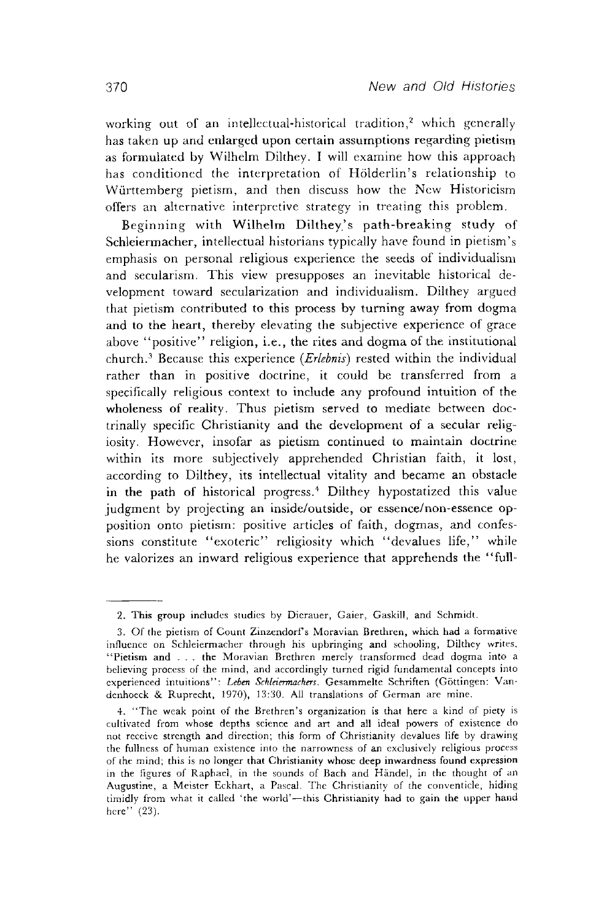working out of an intellectual-historical tradition,<sup>2</sup> which generally has taken up and enlargcd upon certain assumptions regarding pietism as formulated by Wilhelm Dilthey. I will examine how this approach has conditioned the interpretation of Holderlin's relationship to Württemberg pietism, and then discuss how the New Historicism offers an alternative interpretive strategy in treating this problem.

Beginning with Wilhelm Dilthey's path-breaking study of Schleiermacher, intellectual historians typically have found in pietism's emphasis on personal religious experience the seeds of individualism and secularism. This view presupposes an inevitable historical development toward secularization and individualism. Dilthey argued that pietism contributed to this process by turning away from dogma and to the heart, thereby elevating the subjective experience of grace above "positive" religion, i.e., the rites and dogma of the institutional church.? Because this experience *(Erlebnis)* rested within the individual rather than in positive doctrine, it could be transferred from a specifically religious context to include any profound intuition of the wholeness of reality. Thus pietism served to mediate between doctrinally specific Christianity and the development of a secular religiosity. However, insofar as pietism continued to maintain doctrine within its more subjectively apprehended Christian faith, it lost, according to Dilthey, its intellectual vitality and became an obstacle in the path of historical progress.<sup>4</sup> Dilthey hypostatized this value judgment by projecting an inside/outside, or essence/non-essence opposition onto pietism: positive articles of faith, dogmas, and confessions constitute "exoteric" religiosity which "devalues life," while he valorizes an inward religious experience that apprehends the "full-

<sup>2.</sup> This group includes studies by Dierauer, Gaier, Gaskill, and Schmidt

<sup>3.</sup> Of the pietism of Count Zinzendorfs Moravian Brethren, which had a formative influcnce on Schleiermacher through his upbringing and schooling, Dilthey writrs. "Pietism and . . . the Moravian Brethren merely transformed dead dogma into a believing process of the mind, and accordingly turned rigid fundamental concepts into experienced intuitions": Leben Schleiermachers. Gesammelte Schriften (Göttingen: Vandenhoeck & Ruprecht, 1970), 13:30. All translations of German are mine.

<sup>4. &</sup>quot;The weak point of the Brethren's organization is that here a kind of piety is cultivated from whose depths scienre and art and all ideal powers of existence do not receive strength and direction; this form of Christianity devalues life by drawing the fullness of human existence into the narrowness of an exclusively religious process of the mind; this is no longer that Christianity whose deep inwardness found expression in the figures of Raphael, in the sounds of Bach and Händel, in the thought of an Augustine, a Meister Eckhart, a Pascal. The Christianity of the conventicle, hiding timidly from what it called 'the world'-this Christianity had to gain the upper hand here" (23).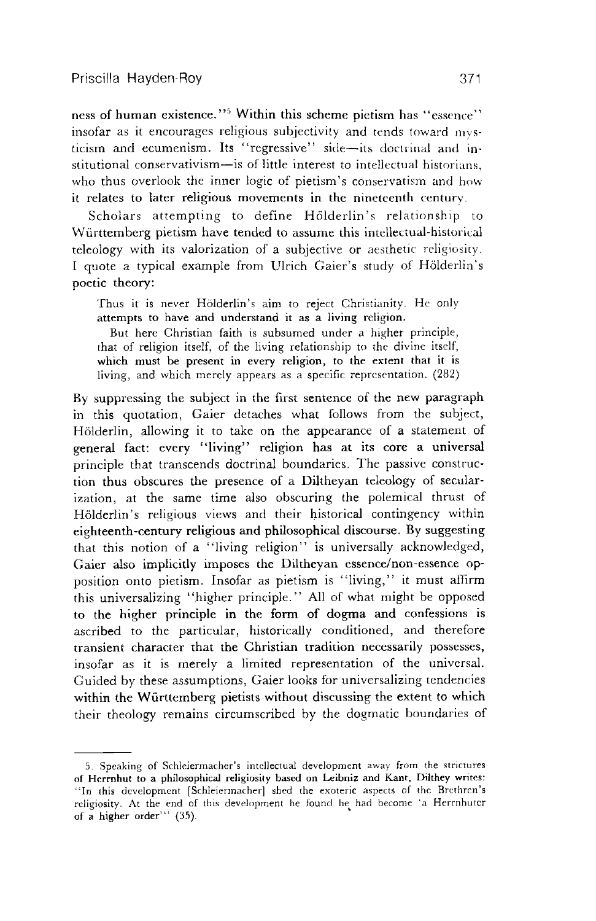ness of human existence."<sup>5</sup> Within this scheme pietism has "essence" insofar as it encourages religious subjectivity and tends toward mysticism and ecumenism. Its "regressive" side-its doctrinal and institutional conservativism-is of little interest to intellectual historians. who thus overlook the inner logic of pietism's conservatism and how it relates to later religious movements in the nineteenth century.

Scholars attempting to define Hölderlin's relationship to Wiirttemberg pietism have tended to assume this intellectual-historical teleology with its valorization of a subjective or aesthetic religiosity. I quote a typical example from Ulrich Gaier's study of Hölderlin's poetic theory:

Thus it is never Hölderlin's aim to reject Christianity. He only attempts to have and understand it as a living religion.

But here Christian faith is subsumed under a higher principle, that of religion itself, of the living relationship to the divine itself, which must be present in every religion, to the extent that it is living, and which merely appears as a specific reprcsentation. (282)

By suppressing the subject in the first sentence of the new paragraph in this quotation, Gaier detaches what follows from the subject, Hölderlin, allowing it to take on the appearance of a statement of general fact: every "living" religion has at its core a universal principle that transcends doctrinal boundaries. The passive construction thus obscures the presence of a Diltheyan teleology of secularization, at the same time also obscuring the polemical thrust of Hölderlin's religious views and their historical contingency within eighteenth-century religious and philosophical discourse. By suggesting that this notion of a "living religion" is universally acknowledged, Gaier also implicitly imposes the Diltheyan essence/non-essence opposition onto pietism. Insofar as pietism is "living," it must affirm this universalizing "higher principle." All of what might be opposed to the higher principle in the form of dogma and confessions is ascribed to the particular, historically conditioned, and therefore transient character that the Christian tradition necessarily possesses, insofar as it is merely a limited representation of the universal. Guided by these assumptions, Gaier looks for universalizing tendencies within the Württemberg pietists without discussing the extent to which their theology remains circumscribed by the dogmatic boundaries of

<sup>5.</sup> Speaking of Schleiermacher's intellectual development away from the strictures of Herrnhut to a philosophical religiosity based on Leibniz and **Kant,** Dilthey writes: "In this development [Schleiermacher] shed the exoteric aspects of the Brethren's religiosity. At the end of this development he found he had become 'a Herrnhuter of a higher order"' (35).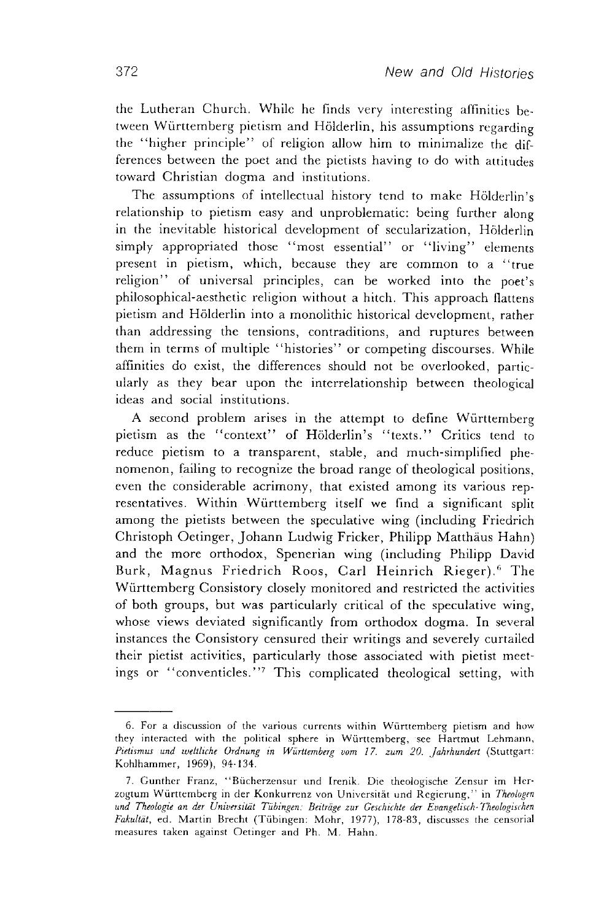the Lutheran Church. Whilc he finds very interesting affinitics between Württemberg pietism and Hölderlin, his assumptions regarding the "higher principle" of religion allow him to minimalize the differences between the poet and the pietists having to do with attitudes toward Christian dogma and institutions.

The assumptions of intellectual history tend to make Hölderlin's relationship to pietism easy and unproblematic: being further along in the inevitable historical development of secularization, Hölderlin simply appropriated those "most essential" or "living" elements present in pietism, which, because they are common to a "true religion" of universal principles, can be worked into the poet's philosophical-aesthetic religion without a hitch. This approach flattens pietism and Holderlin into a monolithic historical development, rather than addressing the tensions, contraditions, and ruptures between them in terms of multiple "histories" or competing discourses. While affinities do exist, the differences should not be overlooked, particularly as they bear upon the interrelationship between theological ideas and social institutions.

A second problem arises in the attempt to define Württemberg pietism as the "context" of Holderlin's "texts." Critics tend to reduce pietism to a transparent, stable, and much-simplified phenomenon, failing to recognize the broad range of theological positions. even the considerable acrimony, that existed among its various representatives. Within Wurttemberg itself we find a significant split among the pietists between the speculative wing (including Friedrich Christoph Oetinger, Johann Ludwig Fricker, Philipp Matthaus Hahn) and the more orthodox, Spenerian wing (including Philipp David Burk, Magnus Friedrich Roos, Carl Heinrich Rieger).<sup>6</sup> The Wiirttemberg Consistory closely monitored and restricted the activities of both groups, but was particularly critical of the speculative wing, whose views deviated significantly from orthodox dogma. In several instances the Consistory censured their writings and severely curtailed their pietist activities, particularly those associated with pietist meetings or "conventicles."' This complicated theological setting, with

<sup>6.</sup> For a discussion of the various currents within Württemberg pietism and how they interacted with the political sphere in Württemberg, see Hartmut Lehmann, Pietismus und weltliche Ordnung in Württemberg vom 17. zum 20. Jahrhundert (Stuttgart: Kohlhammer, 1969), 94-134.

<sup>7.</sup> Gunther Franz, "Bücherzensur und Irenik. Die theologische Zensur im Herzogtum Württemberg in der Konkurrenz von Universität und Regierung," in Theologen und Theologie an der Universität Tübingen: Beiträge zur Geschichte der Evangelisch-Theologischen Fakultät, ed. Martin Brecht (Tübingen: Mohr, 1977), 178-83, discusses the censorial measures taken against Oetinger and Ph. M. Hahn.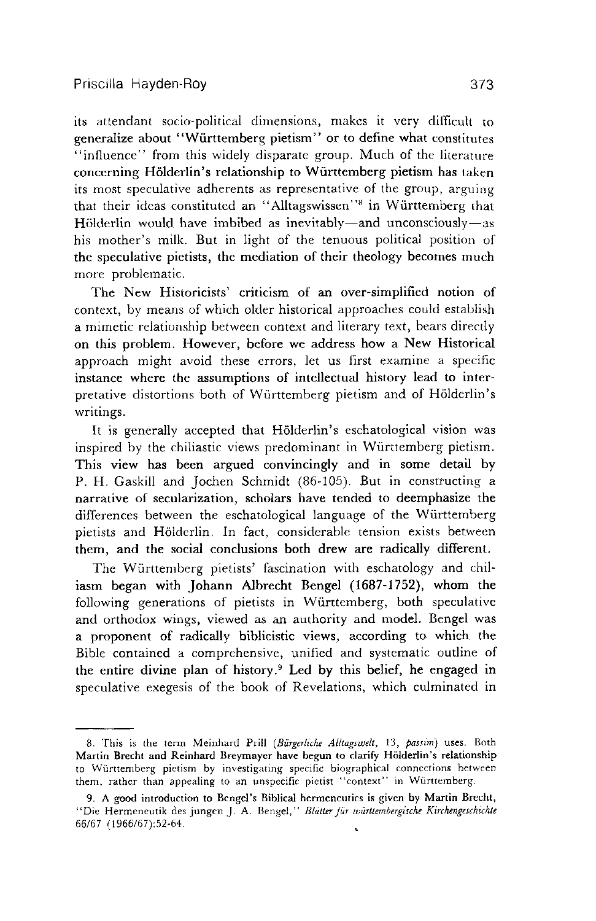its attendant socio-political dimensions, makes it very diificult **to**  generalize about "Wiirttemberg pietism" or to define what constitutes "influence" from this widely disparate group. Much of the literature concerning Hölderlin's relationship to Württemberg pietism has taken its most speculative adherents as representative of the group, arguing that their ideas constituted an "Alltagswissen"<sup>8</sup> in Württemberg that Hölderlin would have imbibed as inevitably—and unconsciously—as his mother's milk. But in light of the tenuous political position of the speculative pietists, the mediation of their theology becomes much more problematic.

The New Historicists' criticism of an over-simplified notion of context, by means of which older historical approaches could establish a mimetic relationship between context and literary text, bears directly on this problem. However, before we address how a New Historical approach might avoid these errors, let us first examine a specific instance where the assumptions of intellectual history lead to interpretative distortions both of Württemberg pietism and of Hölderlin's writings.

It is generally accepted that Hölderlin's eschatological vision was inspired by the chiliastic views predominant in Wurttemberg pietism. This view has been argued convincingly and in some detail by P. H. Gaskill and Jochen Schmidt (86-105). But in constructing a narrative of secularization, scholars have tended to deemphasize the differences between the eschatological language of the Württemberg pietists and Holderlin. In fact, considerable tension exists between them, and the social conclusions both drew are radically different.

The Wiirttemberg pietists' fascination with eschatology and chiliasm began with Johann Albrecht Bengel **(1687-1752),** whom the following generations of pietists in Württemberg, both speculative and orthodox wings, viewed as an authority and model. Bengel was a proponent of radically biblicistic views, according to which the Bible contained a comprehensive, unified and systematic outline of the entire divine plan of history.<sup>9</sup> Led by this belief, he engaged in speculative exegesis of the book of Revelations, which culminated in

<sup>8.</sup> This is the term Meinhard Prill (Bürgerliche Alltagswelt, 13, passim) uses. Both Martin Brecht and Reinhard Breymayer have begun to clarify Hölderlin's relationship to Wurttemberg pietism by investigating specific biographical connections between them, rather than appealing to an unspecific pictist "context" in Württemberg.

<sup>9.</sup> A good introduction to Bengel's Biblical hermencutics is given by Martin Brecht, "Die Hermeneutik des jungen J. A. Bengel," Blätter für württembergische Kirchengeschichte 66167 (1966/67):52-64.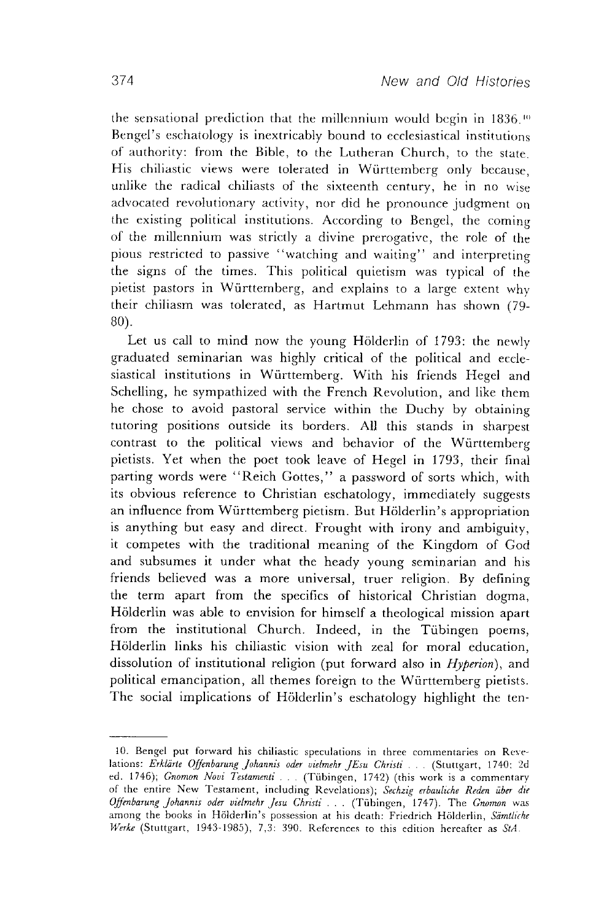the sensational prediction that the millennium would begin in  $1836$ .<sup>10</sup> Rengcl's eschatology is inextricably bound to ecclesiastical institutions of authority: from the Bible, to the Lutheran Church, to the state. His chiliastic views were tolerated in Wurttemberg only because, unlike the radical chiliasts of the sixteenth century, he in no wise advocated revolutionary activity, nor did he pronounce judgment on the existing political institutions. According to Bengel, the coming of the millennium was strictly a divine prerogative, the role of the pious restricted to passive "watching and waiting" and interpreting the signs of the times. This political quietism was typical of the pietist pastors in Wurttemberg, and explains to a large extent why their chiliasm was tolerated, as Hartmut Lehmann has shown (79- 80).

Let us call to mind now the young Hölderlin of 1793: the newly graduated seminarian was highly critical of the political and ecclesiastical institutions in Wurttemberg. With his friends Hegel and Schelling, he sympathized with the French Revolution, and like them he chose to avoid pastoral service within the Duchy by obtaining tutoring positions outside its borders. All this stands in sharpest contrast to the political views and behavior of the Wurttemberg pietists. Yet when the poet took leave of Hegel in 1793, their final parting words were "Reich Gottes," a password of sorts which, with its obvious reference to Christian eschatology, immediately suggests an influence from Wurttemberg pietism. But Holderlin's appropriation is anything but easy and direct. Frought with irony and ambiguity, it competes with the traditional meaning of the Kingdom of God and subsumes it under what the heady young seminarian and his friends believed was a more universal, truer religion. By defining the term apart from the specifics of historical Christian dogma, Holderlin was able to envision for himself a theological mission apart from the institutional Church. Indeed, in the Tübingen poems, Holderlin links his chiliastic vision with zeal for moral education, dissolution of institutional religion (put forward also in *Hyperion*), and political emancipation, all themes foreign to the Wurttemberg pietists. The social implications of Hoiderlin's eschatology highlight the ten-

<sup>10.</sup> Bengel put forward his chiliastic speculations in three commentaries on **Rcvc**lations: Erklärte Offenbarung Johannis oder vielmehr JEsu Christi . . . (Stuttgart, 1740: 2d rd. 1746); *Gnomon Noui 7'estamenli* . . . (Tubingen, 1742) (this work is a cammentary of the entire New Testament, including Revelations); Sechzig erbauliche Reden über die *Offenbarunf Johannzr oder uielmehr Jesu Chrzsii* . . . (Tubingen, 1747). The *Gnomon* was among the books in Hölderlin's possession at his death: Friedrich Hölderlin, Sämtliche *Werke* (Stuttgart, 1943-1985), 7,3: 390. References to this edition hereafter as *StA*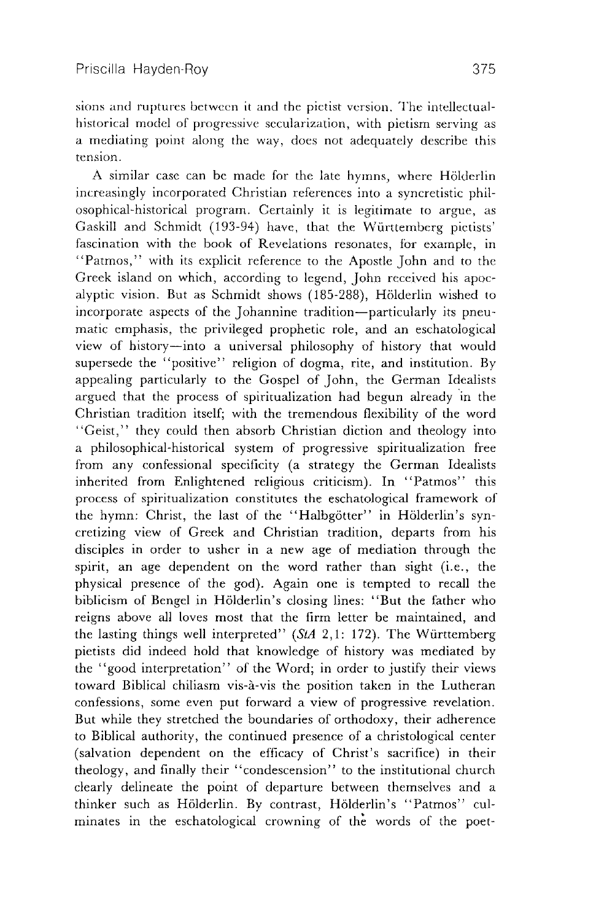sions and ruptures between it and the pietist version. The intellectualhistorical model of progressive secularization, with pietism serving as a mediating point along the way, does not adequately describe this tension.

A similar case can be made for the late hymns, where Hölderlin increasingly incorporated Christian references into a syncretistic philosophical-historical program. Certainly it is legitimate to argue, as Gaskill and Schmidt (193-94) have, that the Württemberg pictists' fascination with the book of Revelations resonates, for example, in "Patmos," with its explicit reference to the Apostle John and to the Greek island on which, according to legend, John received his apocalyptic vision. But as Schmidt shows (185-288), Hölderlin wished to incorporate aspects of the Johannine tradition-particularly its pneumatic emphasis, the privileged prophetic role, and an eschatological view of history-into a universal philosophy of history that would supersede the "positive" religion of dogma, rite, and institution. By appealing particularly to the Gospel of John, the German Idealists argued that the process of spiritualization had begun already in the Christian tradition itself; with the tremendous flexibility of the word "Geist," they could then absorb Christian diction and theology into a philosophical-historical system of progressive spiritualization free from any confessional specificity (a strategy the German Idealists inherited from Enlightened religious criticism). In "Patmos" this process of spiritualization constitutes the eschatological framework of the hymn: Christ, the last of the "Halbgötter" in Hölderlin's syncretizing view of Greek and Christian tradition, departs from his disciples in order to usher in a new age of mediation through the spirit, an age dependent on the word rather than sight (i.e., the physical presence of the god). Again one is tempted to recall the biblicism of Bengel in Hölderlin's closing lines: "But the father who reigns above all loves most that the firm letter be maintained, and the lasting things well interpreted" ( $StA$  2,1: 172). The Württemberg pietists did indeed hold that knowledge of history was mediated by the "good interpretation" of the Word; in order to justify their views toward Biblical chiliasm vis-à-vis the position taken in the Lutheran confessions, some even put forward a view of progressive revelation. But while they stretched the boundaries of orthodoxy, their adherence to Biblical authority, the continued presence of a christological center (salvation dependent on the efficacy of Christ's sacrifice) in their theology, and finally their "condescension" to the institutional church clearly delineate the point of departure between themselves and a thinker such as Hölderlin. By contrast, Hölderlin's "Patmos" culminates in the eschatological crowning of the words of the poet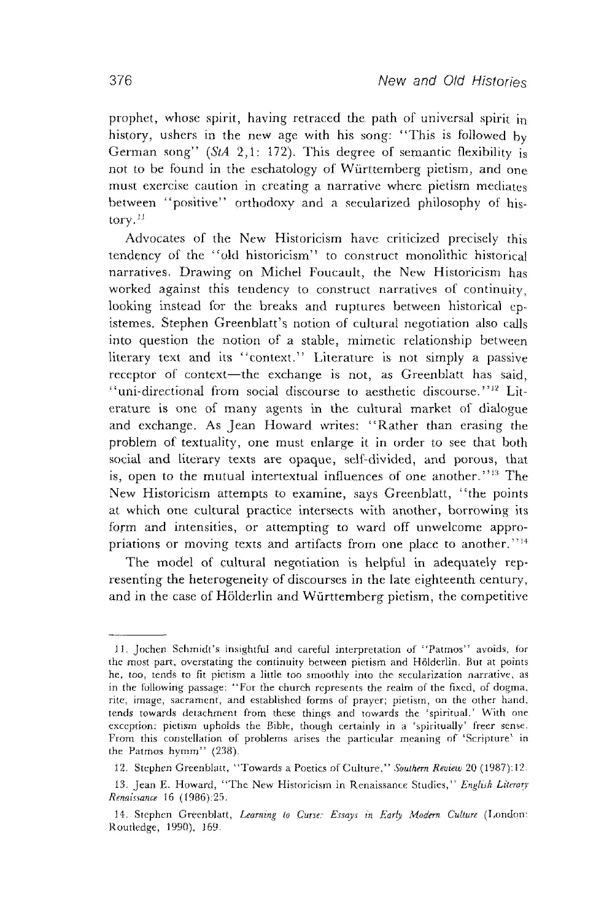prophet, whose spirit, having retraced the path of universal spirit in history, ushers in the new age with his song: "This is followed by German song" (StA 2,1: 172). This degree of semantic flexibility is not to be found in the eschatology of Württemberg pietism, and one must exercise caution in creating a narrative where pietism mediates between "positive" orthodoxy and a secularized philosophy of his $torv$ .<sup>11</sup>

Advocates of the New Historicism have criticized precisely this tendency of the "old historicism" to construct monolithic historical narratives. Drawing on Michel Foucault, the New Historicism has worked against this tendency to construct narratives of continuity, looking instead for the breaks and ruptures between historical **ep**istemes. Stephen Greenblatt's notion of cultural negotiation also calls into question the notion of a stable, mimetic relationship between literary text and its "context." Literature is not simply a passive receptor of context-the exchange is not, as Greenblatt has said, "uni-directional from social discourse to aesthetic discourse."<sup>12</sup> Literature is one of many agents in the cultural market of dialogue and exchange. As Jean Howard writes: "Rather than erasing the problem of textuality, one must enlarge it in order to see that both social and literary texts are opaque, self-divided, and porous, that is, open to the mutual intertextual influences of one another."<sup>13</sup> The New Historicism attempts to examine, says Greenblatt, "the points at which one cultural practice intersects with another, borrowing its form and intensities, or attempting to ward off unwelcome appropriations or moving texts and artifacts from one place to another."<sup>14</sup>

The model of cultural negotiation is helpful in adequately representing the heterogeneity of discourses in the late eighteenth century, and in the case of Hölderlin and Württemberg pietism, the competitive

<sup>11.</sup> Jochen Schmidt's insightful and careful interpretation of "Patmos" avoids, for the most part, overstating the continuity between pictism and Hölderlin. But at points he, too, tends to fit pietism a little too smoothly into the secularization narrative, as in the following passage: "For the church represents the realm of the fixed, of dogma, rite, image, sacrament, and established forms of prayer; pietism, on the other hand. tends towards detachment from these things and towards the 'spiritual.' With one exception: pietism upholds the Bible, though certainly in a 'spiritually' freer sense. From this constellation of problems arises the particular meaning of 'Scripture' in the Patmos hymm" (238).

<sup>12.</sup> Stephen Greenblatt, "Towards a Poetics of Culture," Southern Review 20 (1987):12.

<sup>13.</sup> Jean E. Howard, "The New Historicism in Renaissance Studies," *English Literary Renaissance* 16 (1986):25.

<sup>14.</sup> Stephen Greenblatt, *Learning to Curse: Essays in Early Modern Culture* (London: Routledge, 1990), 169.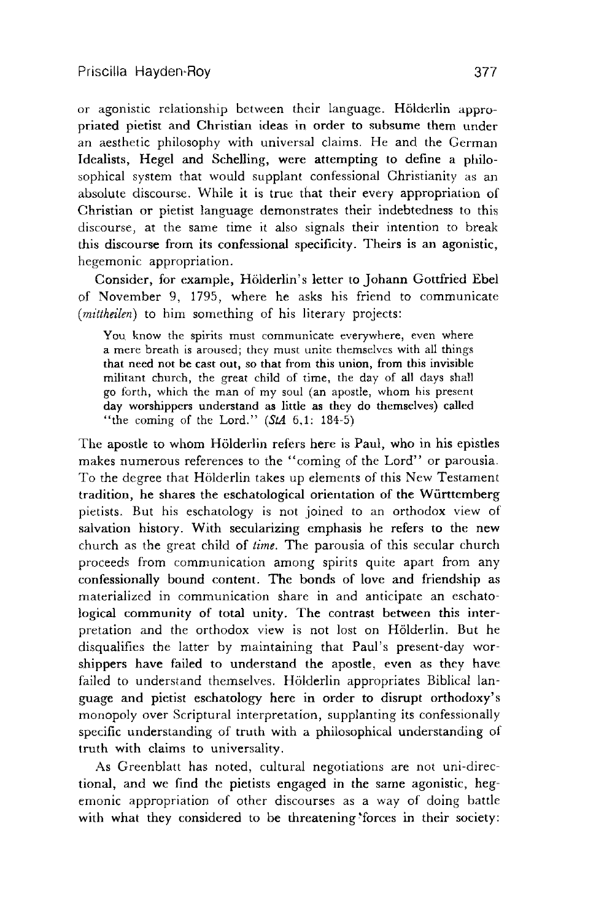or agonistic relationship between their language. Hölderlin appropriated pietist and Christian ideas in order to subsume them under an aesthetic philosophy with universal claims. He and the German Idealists, Hegel and Schelling, were attempting to define a philosophical system that would supplant confessional Christianity as an absolute discourse. While it is true that their every appropriation of Christian or pietist language demonstrates their indebtedness to this discourse, at the same time it also signals their intention to break this discourse from its confessional specificity. Theirs is an agonistic, hegemonic appropriation.

Consider, for example, Holderlin's letter to Johann Gottfried Ebel of November 9, 1795, where he asks his friend to communicate (*mittheilen*) to him something of his literary projects:

You know the spirits must communicate everywhere, even where a mere breath is aroused; they must unite themselves with all things that need not be cast out, so that from this union, from this invisible militant church, the great child of time, the day of all days shall go forth, which the man of my soul (an apostle, whom his present day worshippers understand as little as they do themselves) called "the coming of the Lord." *(StA* 6,l: 184-5)

The apostle to whom Hölderlin refers here is Paul, who in his epistles makes numerous references to the "coming of the Lord" or parousia To the degree that Hölderlin takes up elements of this New Testament tradition, he shares the eschatological orientation of the Wiirtternberg pietists. But his eschatology is not joined to an orthodox view of salvation history. With secularizing emphasis he refers to the new church as the great child of *time*. The parousia of this secular church proceeds from communication among spirlts qulte apart from any confessionally bound content. The bonds of love and friendship as materialized in communication share in and anticipate an eschatological community of total unity. The contrast between this interpretation and the orthodox view is not lost on Hölderlin. But he disqualifies the latter by maintaining that Paul's present-day worshippers have failed to understand the apostle, even as they have failed to understand themselves. Hölderlin appropriates Biblical language and pietist eschatology here in order to disrupt orthodoxy's monopoly over Scriptural interpretation, supplanting its confessionally specific understanding of truth with a philosophical understanding of truth with claims to universality.

As Greenblatt has noted, cultural negotiations are not uni-directional, and we find the pietists engaged in the same agonistic, hegemonic appropriation of other discourses as a way of doing battle with what they considered to be threatening forces in their society: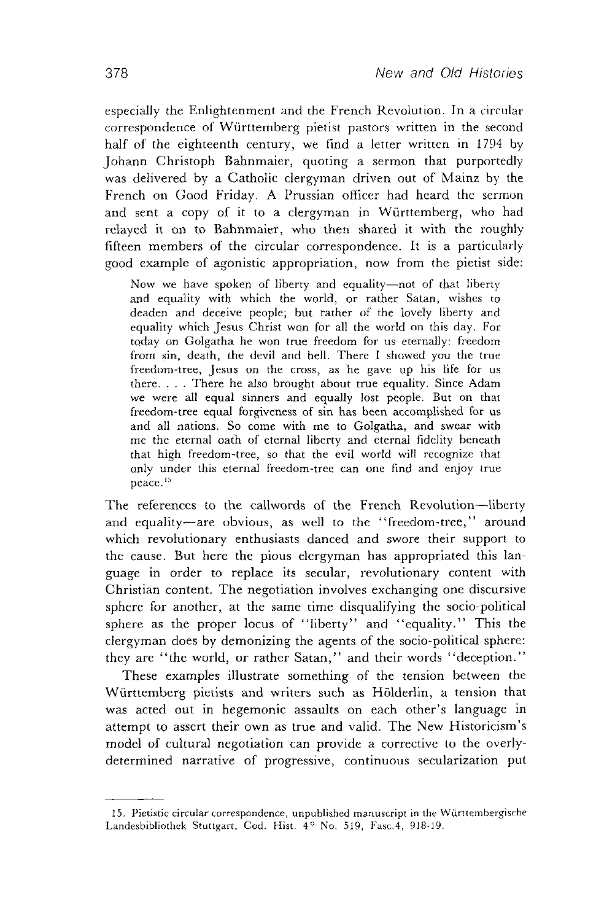especially the Enlightenment and the French Revolution. In a circular correspondence of Württemberg pietist pastors written in the second half of the eighteenth century, we find a letter written in 1794 by Johann Christoph Bahnmaier, quoting a sermon that purportedly was delivered by a Catholic clergyman driven out of Mainz by the French on Good Friday. A Prussian officer had heard the sermon and sent a copy of it to a clergyman in Württemberg, who had relayed it on to Bahnmaier, who then shared it with the roughly fifteen members of the circular correspondence It is a particularly good example of agonistic appropriation, now from the pietist side:

Now we have spoken of liberty and equality-not of that liberty and equality with which the world, or rather Satan, wishes to deaden and deceive people; but rather of the lovely liberty and equality which Jesus Christ won for all the world on this day. For today on Golgatha he won true freedom for us eternally: freedom from sin, death, the devil and hell. There I showed you the true freedom-tree, Jesus on the cross, as he gave up his life for us there... There he also brought about true equality. Since Adam we were all equal sinners and equally lost people. But on that freedom-tree equal forgiveness of sin has been accomplished for us and all nations So come with me to Golgatha, and swear with me the eternal oath of eternal liberty and eternal fidelity beneath that high freedom-tree, so that the evil world will recognize that only under this eternal freedom-tree can one find and enjoy true peace.<sup>15</sup>

The references to the callwords of the French Revolution-liberty and equality-are obvious, as well to the "freedom-tree," around which revolutionary enthusiasts danced and swore their support to the cause. But here the pious clergyman has appropriated this language in order to replace its secular, revolutionary content with Christian content. The negotiation involves exchanging one discursive sphere for another, at the same time disqualifying the socio-political sphere as the proper locus of "liberty" and "equality." This the clergyman does by demonizing the agents of the socio-polltical sphere. they are "the world, or rather Satan," and their words "deception."

These examples Illustrate something of the tension between the Württemberg pietists and writers such as Hölderlin, a tension that was acted out in hegemonic assaults on each other's language in attempt to assert their own as true and valid. The New Historicism's model of cultural negotiation can provide a corrective to the overlydetermined narrative of progressive, continuous secularization put

<sup>15.</sup> Pietistic circular correspondence, unpublished manuscript in the Württembergische Landesbibliothek Stuttgart. Cod. Hist.  $4^{\circ}$  No. 519, Fasc. 4, 918-19.